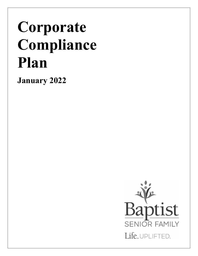# **Corporate Compliance Plan**

**January 2022**

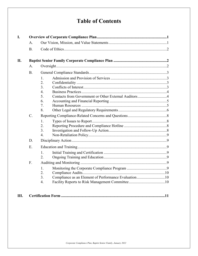# **Table of Contents**

| I.  |           |                                                                              |
|-----|-----------|------------------------------------------------------------------------------|
|     | А.        |                                                                              |
|     | <b>B.</b> |                                                                              |
| II. |           |                                                                              |
|     | A.        |                                                                              |
|     | <b>B.</b> |                                                                              |
|     |           | 1.<br>2.                                                                     |
|     |           | 3.                                                                           |
|     |           | $\overline{4}$ .                                                             |
|     |           | Contacts from Government or Other External Auditors4<br>5.                   |
|     |           | 6.<br>7.                                                                     |
|     |           | 8.                                                                           |
|     | C.        |                                                                              |
|     |           | 1.                                                                           |
|     |           | 2.                                                                           |
|     |           | 3.                                                                           |
|     |           | $\overline{4}$ .                                                             |
|     | D.        |                                                                              |
|     | E.        |                                                                              |
|     |           | 1.<br>2.                                                                     |
|     | F.        |                                                                              |
|     |           | 1.<br>2.<br>Compliance as an Element of Performance Evaluation10<br>3.<br>4. |
|     |           |                                                                              |

| Ш. |  |
|----|--|
|----|--|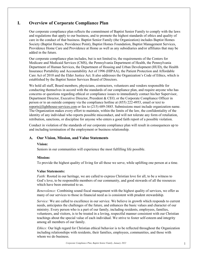# <span id="page-2-0"></span>**I. Overview of Corporate Compliance Plan**

Our corporate compliance plan reflects the commitment of Baptist Senior Family to comply with the laws and regulations that apply to our business, and to promote the highest standards of ethics and quality of care in the conduct of that business. Baptist Senior Family (the Organization) includes Baptist Homes Society (Baptist Homes, Providence Point), Baptist Homes Foundation, Baptist Management Services, Providence Home Care and Providence at Home as well as any subsidiaries and/or affiliates that may be added in the future.

Our corporate compliance plan includes, but is not limited to, the requirements of the Centers for Medicare and Medicaid Services (CMS), the Pennsylvania Department of Health, the Pennsylvania Department of Human Services, the Department of Housing and Urban Development (HUD), the Health Insurance Portability and Accountability Act of 1996 (HIPAA), the Patient Protection and Affordable Care Act of 2010 and the Elder Justice Act. It also addresses the Organization's Code of Ethics, which is established by the Baptist Senior Services Board of Directors.

We hold all staff, Board members, physicians, contractors, volunteers and vendors responsible for conducting themselves in accord with the standards of our compliance plan, and require anyone who has concerns or questions regarding ethical or compliance issues to immediately contact his/her Supervisor, Department Director, Executive Director, President & CEO, or the Corporate Compliance Officer in person or to an outside company via the compliance hotline at (855) 222-4953, email or text to [reports@lighthouse-services.com](mailto:reports@lighthouse-services.com) or fax to (215) 689-3885. Submissions must include organization name. The Organization makes every effort to maintain, within the limits of the law, the confidentiality of the identity of any individual who reports possible misconduct, and will not tolerate any form of retaliation, retribution, sanctions, or discipline for anyone who enters a good faith report of a possible violation.

Conduct in violation of the standards of our corporate compliance plan will result in consequences up to and including termination of the employment or business relationship.

#### <span id="page-2-1"></span>**A. Our Vision, Mission, and Value Statements**

#### **Vision:**

Seniors in our communities will experience the most fulfilling life possible.

#### **Mission:**

To provide the highest quality of living for all those we serve, while uplifting one person at a time.

#### **Value Statements:**

*Faith:* Rooted in our heritage, we are called to express Christian love for all, to be a witness to God's love, to be responsible members of our community, and good stewards of all the resources which have been entrusted to us.

*Benevolence:* Combining sound fiscal management with the highest quality of services, we offer as many of our services to those in financial need as is consistent with prudent stewardship.

*Service:* We are called to excellence in our service. We believe in growth which responds to current needs, anticipates the challenges of the future, and enhances the basic values and character of our ministry. Every person who is a part of our family, including residents, employees, families, volunteers, and visitors, is to be treated in a loving, respectful manner consistent with our Christian teachings about the special value of each individual. We strive to foster self-esteem and integrity among all members of our family.

*Ethics:* Our high regard for Christian ethical behavior is to be reflected throughout the Organization including relationships with residents, their families, employees, communities, and those with whom we do business.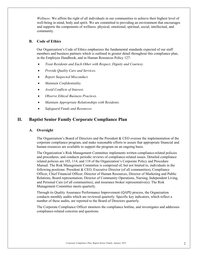*Wellness:* We affirm the right of all individuals in our communities to achieve their highest level of well-being in mind, body and spirit. We are committed to providing an environment that encourages and supports the components of wellness: physical, emotional, spiritual, social, intellectual, and community.

#### <span id="page-3-0"></span>**B. Code of Ethics**

Our Organization's Code of Ethics emphasizes the fundamental standards expected of our staff members and business partners which is outlined in greater detail throughout this compliance plan, in the Employee Handbook, and in Human Resources Policy 127:

- *Treat Residents and Each Other with Respect, Dignity and Courtesy.*
- *Provide Quality Care and Services*.
- *Report Suspected Misconduct.*
- *Maintain Confidentiality.*
- *Avoid Conflicts of Interest*.
- *Observe Ethical Business Practices.*
- *Maintain Appropriate Relationships with Residents.*
- *Safeguard Funds and Resources.*

## <span id="page-3-2"></span><span id="page-3-1"></span>**II. Baptist Senior Family Corporate Compliance Plan**

#### **A. Oversight**

The Organization's Board of Directors and the President & CEO oversee the implementation of the corporate compliance program, and make reasonable efforts to assure that appropriate financial and human resources are available to support the program on an ongoing basis.

The Organization's Risk Management Committee implements written compliance-related policies and procedures, and conducts periodic reviews of compliance-related issues. Detailed compliance related policies are 103, 114, and 118 of the Organization's Corporate Policy and Procedure Manual. The Risk Management Committee is comprised of, but not limited to, individuals in the following positions: President & CEO, Executive Director (of all communities), Compliance Officer, Chief Financial Officer, Director of Human Resources, Director of Marketing and Public Relations, Board representation; Director of Community Operations, Nursing, Independent Living, and Personal Care (of all communities), and insurance broker representative(s). The Risk Management Committee meets quarterly.

Through its Quality Assurance Performance Improvement (QAPI) process, the Organization conducts monthly audits which are reviewed quarterly. Specific key indicators, which reflect a number of these audits, are reported to the Board of Directors quarterly.

The Corporate Compliance Officer monitors the compliance hotline, and investigates and addresses compliance-related concerns and questions.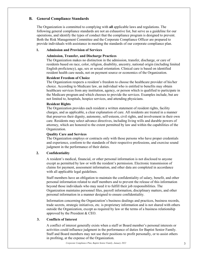### <span id="page-4-0"></span>**B. General Compliance Standards**

The Organization is committed to complying with **all** applicable laws and regulations. The following general compliance standards are not an exhaustive list, but serve as a guideline for our operations, and identify the types of conduct that the compliance program is designed to prevent. Both the Risk Management Committee and the Corporate Compliance Officer are prepared to provide individuals with assistance in meeting the standards of our corporate compliance plan.

#### <span id="page-4-1"></span>**1. Admission and Provision of Services**

#### **Admission, Transfer, and Discharge Practices**

The Organization makes no distinction in the admission, transfer, discharge, or care of residents based on race, color, religion, disability, ancestry, national origin (including limited English proficiency), age, sex or sexual orientation. Clinical care is based on identified resident health care needs, not on payment source or economics of the Organization.

#### **Resident Freedom of Choice**

The Organization respects a resident's freedom to choose the healthcare provider of his/her choice. According to Medicare law, an individual who is entitled to benefits may obtain healthcare services from any institution, agency, or person which is qualified to participate in the Medicare program and which chooses to provide the services. Examples include, but are not limited to, hospitals, hospice services, and attending physicians.

#### **Resident Rights**

The Organization provides each resident a written statement of resident rights, facility charges, and as applicable, a clear explanation of care. All residents are treated in a manner that preserves their dignity, autonomy, self-esteem, civil rights, and involvement in their own care. Residents may select advance directives, including living wills and durable powers of attorney, which are honored to the extent permitted by law and within the capabilities of the Organization.

#### **Quality Care and Services**

The Organization employs or contracts only with those persons who have proper credentials and experience, conform to the standards of their respective professions, and exercise sound judgment in the performance of their duties.

#### <span id="page-4-2"></span>**2. Confidentiality**

A resident's medical, financial, or other personal information is not disclosed to anyone except as permitted by law or with the resident's permission. Electronic transmission of claims for payment, assessment information, and other data are completed in accordance with all applicable legal guidelines.

Staff members have an obligation to maintain the confidentiality of salary, benefit, and other personal information related to staff members and to prevent the release of this information beyond those individuals who may need it to fulfill their job responsibilities. The Organization maintains personnel files, payroll information, disciplinary matters, and other personal information in a manner designed to ensure confidentiality.

Information concerning the Organization's business dealings and practices, business records, trade secrets, strategic initiatives, etc. is proprietary information and is not shared with others outside the Organization, except as required by law or the terms of a business relationship approved by the President & CEO.

#### <span id="page-4-3"></span>**3. Conflicts of Interest**

A conflict of interest generally exists when a staff or Board member's personal interests or activities could influence judgment in the performance of duties for Baptist Senior Family. Staff and Board members may not use their positions to profit personally, or to assist others in profiting, at the expense of the Organization.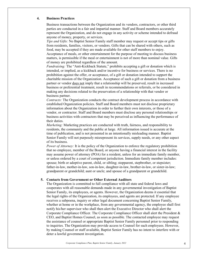#### <span id="page-5-0"></span>**4. Business Practices**

Business transactions between the Organization and its vendors, contractors, or other third parties are conducted in a fair and impartial manner. Staff and Board members accurately represent the Organization, and do not engage in any activity or scheme intended to defraud anyone of money, property, or services.

*Tips and Gifts:* No Baptist Senior Family staff member may request or accept tips or gifts from residents, families, visitors, or vendors. Gifts that can be shared with others, such as food, may be accepted if they are made available for other staff members to enjoy. Acceptance of meals, or other entertainment for the purpose of meeting to discuss business matters, is permissible if the meal or entertainment is not of more than nominal value. Gifts of money are prohibited regardless of the amount.

*Fundraising:* The "Anti-Kickback Statute," prohibits accepting a gift or donation which is intended, or implied, as a kickback and/or incentive for business or services. There is no prohibition against the offer, or acceptance, of a gift or donation intended to support the charitable mission of the Organization. Acceptance of such a gift or donation from a business partner or vendor does not imply that a relationship will be preserved, result in increased business or preferential treatment, result in recommendations or referrals, or be considered in making any decisions related to the preservation of a relationship with that vendor or business partner.

*Contracts:* The Organization conducts the contract development process in accordance with established Organization policies. Staff and Board members must not disclose proprietary information about the Organization in order to further their own interests, or those of a vendor, or contractor. Staff and Board members must disclose any personal relationships or business activities with contractors that may be perceived as influencing the performance of their duties.

*Marketing:* Marketing practices are conducted with truth, fairness, and responsibility to residents, the community and the public at large. All information issued is accurate at the time of publication, and is not presented in an intentionally misleading manner. Baptist Senior Family will not purposely misrepresent its services, supply needs, or any other aspect of its business.

*Power of Attorney:* It is the policy of the Organization to enforce the regulatory prohibition that no employee, member of the Board, or anyone having a financial interest in the facility may assume power of attorney (POA) for a resident, unless for an immediate family member, or unless ordered by a court of competent jurisdiction. Immediate family member includes: spouse; birth or adoptive parent, child, or sibling; stepparent, stepbrother, or stepsister; father-in-law, mother-in-law, son-in-law, daughter-in-law, brother-in-law, or sister-in-law; grandparent or grandchild; aunt or uncle; and spouse of a grandparent or grandchild.

#### <span id="page-5-1"></span>**5. Contacts from Government or Other External Auditors**

The Organization is committed to full compliance with all state and federal laws and cooperates with all reasonable demands made in any governmental investigation of Baptist Senior Family, its employees, or agents. However, the Organization deems it essential that the legal rights of the Organization, its employees, and agents are protected. If any employee receives a subpoena, inquiry or other legal document concerning Baptist Senior Family, whether at home or in the workplace, from any governmental agency, the employee shall first notify his/her supervisor who shall then alert the Executive Director who shall alert the Corporate Compliance Officer. The Corporate Compliance Officer shall alert the President & CEO, and Baptist Homes Counsel, as soon as possible. The contacted employee may request the assistance of counsel or appropriate Baptist Senior Family personnel prior to responding to inquiries. The Organization may provide access to Counsel for such employees. However, by making Counsel or staff available, Baptist Senior Family has no intent to interfere with or deter a lawful government investigation.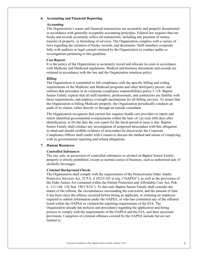#### <span id="page-6-0"></span>**6. Accounting and Financial Reporting**

#### *Accounting*

The Organization's assets and financial transactions are accurately and properly documented in accordance with generally acceptable accounting principles. Federal law requires that our books and records accurately reflect all transactions, including any payment of money, transfer of property, or furnishing of services. The Organization complies with a variety of laws regarding the retention of books, records, and documents. Staff members cooperate fully with auditors or legal counsel retained by the Organization to conduct audits or investigations pertaining to this guideline.

#### *Cost Reports*

It is the policy of the Organization to accurately record and allocate its costs in accordance with Medicare and Medicaid regulations. Medical and business documents and records are retained in accordance with the law and the Organization retention policy.

#### *Billing*

The Organization is committed to full compliance with the specific billing and coding requirements of the Medicare and Medicaid programs and other third-party payors, and outlines that procedure in its corporate compliance responsibilities policy # 118. Baptist Senior Family expects that all staff members, professionals, and contractors are familiar with these requirements, and employs oversight mechanisms for all billing services. To assure that the Organization is billing Medicare properly, the Organization periodically conducts an audit of its claims, either directly or through an outside consultant.

The Organization recognizes that current law requires health care providers to report and return identified governmental overpayments within the later of: (a) sixty (60) days after identification; or (b) the date the cost report for the fiscal period at issue is due. Baptist Senior Family shall conduct any investigation of suspected misconduct with this obligation in mind and should credible evidence of misconduct be discovered, the Corporate Compliance Officer shall confer with Counsel to discuss the method and means of complying with its governmental reporting and refund obligations.

#### <span id="page-6-1"></span>**7. Human Resources**

#### *Controlled Substances*

The use, sale, or possession of controlled substances or alcohol on Baptist Senior Family property is strictly prohibited, except as normal course of business, such as authorized sale of alcoholic beverages.

#### *Criminal Background Checks*

The Organization shall comply with the requirements of the Pennsylvania Older Adults Protective Services Act, 35 P.S. § 10225.101 et seq. ("OAPSA"), as well as the provisions of the Elder Justice Act contained within the Patient Protection and Affordable Care Act, Pub. L. 111-148, 124 Stat. 199 ("EJA"). To this end, Baptist Senior Family shall consider the nature of the offense, the circumstances surrounding the conviction, and the amount of time it has been since the offense occurred before hiring an applicant, or retaining an employee required to submit information under the OAPSA, or who has committed any of the offenses listed within the OAPSA or violated the reporting requirements of the EJA. The Organization already has policies and procedures regarding the application and hiring process to comply with the requirements of the OAPSA and the EJA, and their successor provisions. Categories of criminal offenses covered by the OAPSA include but are not limited to: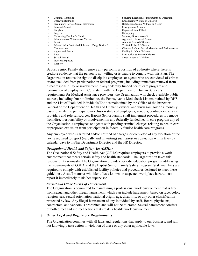- **•** Criminal Homicide
- Unlawful Restraint
- Involuntary Deviate Sexual Intercourse
- Indecent Assault
- Burglary
- Forgery
- Concealing Death of a Child Intimidation of Witnesses or Victims
- Incest
- Felony Under Controlled Substance, Drug, Device & Cosmetic Act
- Aggravated Assault
- Rape
- Sexual Assault
- Indecent Exposure
- Robbery
- Securing Execution of Documents by Deception
- Endangering Welfare of Children
- Retaliation Against Witness or Victim
- Corruption of Minors
	- Organized Retail Theft
- Kidnapping
- Statutory Sexual Assault
- Aggravated Indecent Assault
- Arson & Related Offenses
- Theft & Related Offenses
- Obscene & Other Sexual Materials and Performances
- Dealing in Infant Children
- **Prostitution & Related Offenses**
- Sexual Abuse of Children

Baptist Senior Family shall remove any person in a position of authority where there is credible evidence that the person is not willing or is unable to comply with this Plan. The Organization retains the right to discipline employees or agents who are convicted of crimes or are excluded from participation in federal programs, including immediate removal from direct responsibility or involvement in any federally funded health care program and termination of employment. Consistent with the Department of Human Service's requirements for Medical Assistance providers, the Organization will check available public sources, including, but not limited to, the Pennsylvania Medicheck List maintained by DHS and the List of Excluded Individuals/Entities maintained by the Office of the Inspector General of the Department of Health and Human Services, and www.sam.gov on a monthly basis to verify the participation/exclusion status of employees, vendors, contractors, service providers and referral sources. Baptist Senior Family shall implement procedures to remove from direct responsibility or involvement in any federally funded health care program any of the Organization's employees or agents with pending criminal charges relating to health care or proposed exclusion from participation in federally funded health care programs.

Any employee who is arrested and/or notified of charges, or convicted of any violation of the law is required to report (verbally and in writing) such arrest or conviction within five (5) calendar days to his/her Department Director and the HR Director.

#### *Occupational Health and Safety Act (OSHA)*

The Occupational Safety and Health Act (OSHA) requires employers to provide a work environment that meets certain safety and health standards. The Organization takes this responsibility seriously. The Organization provides periodic education programs addressing the requirements of OSHA and the Baptist Senior Family Safety Program. Staff members are required to comply with established facility policies and procedures designed to meet these guidelines. A staff member who identifies a known or suspected workplace hazard must report it immediately to his/her supervisor.

#### *Sexual and Other Forms of Harassment*

The Organization is committed to maintaining a professional work environment that is free from sexual and other illegal harassment, which can include harassment based on race, color, religion, sex, sexual orientation, national origin, age, disability, or any other classification protected by law. Any illegal harassment of any individual by staff, Board, physicians, contractors, and vendors is prohibited and will not be tolerated. Sexual harassment consists of both direct and indirect actions that create a hostile work environment.

#### <span id="page-7-0"></span>**8. Other Legal and Regulatory Requirements**

The Organization complies with all laws and regulations that apply to our business, and will not knowingly take action in violation of these or any other applicable laws.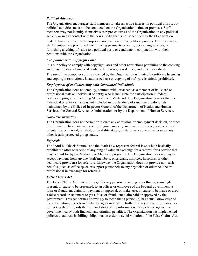#### *Political Advocacy*

The Organization encourages staff members to take an active interest in political affairs, but political activities must not be conducted on the Organization's time or premises. Staff members may not identify themselves as representatives of the Organization in any political activity or in any contact with the news media that is not sanctioned by the Organization.

Federal law strictly controls corporate involvement in the political process. For this reason, staff members are prohibited from making payments or loans, performing services, or furnishing anything of value to a political party or candidate in conjunction with their positions with the Organization.

#### *Compliance with Copyright Laws*

It is our policy to comply with copyright laws and other restrictions pertaining to the copying and dissemination of material contained in books, newsletters, and other periodicals.

The use of the computer software owned by the Organization is limited by software licensing and copyright restrictions. Unauthorized use or copying of software is strictly prohibited.

#### *Employment of or Contracting with Sanctioned Individuals*

The Organization does not employ, contract with, or accept as a member of its Board or professional staff an individual or entity who is ineligible for participation in federal healthcare programs, including Medicare and Medicaid. The Organization verifies that the individual or entity's name is not included in the database of sanctioned individuals maintained by the Office of Inspector General of the Department of Health and Human Services, the General Services Administration, or by the Department of Human Services.

#### *Non-Discrimination*

The Organization does not permit or tolerate any admission or employment decision, or other discrimination based on race, color, religion, ancestry, national origin, age, gender, sexual orientation, or marital, familial, or disability status, or status as a covered veteran, or any other legally protected group status.

#### *Referrals*

The "Anti-Kickback Statute" and the Stark Law represent federal laws which basically prohibit the offer or receipt of anything of value in exchange for a referral for a service that may be paid for by the Medicare or Medicaid programs. The Organization does not pay or accept payment from anyone (staff members, physicians, hospices, hospitals, or other healthcare providers) for referrals. Likewise, the Organization does not provide non-cash benefits (such as office space or support personnel) to any physician or other healthcare professional in exchange for referrals.

#### *False Claims Act*

The False Claims Act makes it illegal for any person to, among other things, knowingly present, or cause to be presented, to an officer or employee of the Federal government, a false or fraudulent claim for payment or approval, or make, use, or cause to be made or used, a false record or statement to get a false or fraudulent claim paid or approved by the government. This act defines knowingly to mean that a person (a) has actual knowledge of the information; (b) acts in deliberate ignorance of the truth or falsity of the information; or (c) recklessly disregards the truth or falsity of the information. False claims against the government carry both financial and criminal penalties. The Organization has implemented policies to address its billing obligations in order to avoid violation of the False Claims Act.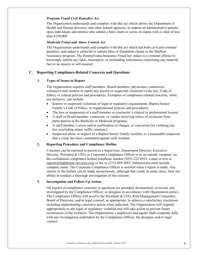#### *Program Fraud Civil Remedies Act*

The Organization understands and complies with this act which allows the Department of Health and Human Services, and other federal agencies, to impose an administrative penalty upon individuals and entities who submit a false claim or series of claims with a value of less than \$150,000.

#### *Medicaid Fraud and Abuse Control Act*

The Organization understands and complies with this act which has both civil and criminal penalties, and makes it unlawful to submit false or fraudulent claims to the Medical Assistance program. The Pennsylvania Insurance Fraud law makes it a criminal offense to knowingly submit any false, incomplete, or misleading information concerning any material fact to an insurer or self-insured.

#### <span id="page-9-1"></span><span id="page-9-0"></span>**C. Reporting Compliance-Related Concerns and Questions**

#### **1. Types of Issues to Report**

The Organization requires staff members, Board members, physicians, contractors, volunteers and vendors to report any known or suspected violations of the law, Code of Ethics, or related policies and procedures. Examples of compliance-related concerns, while not inclusive, can include:

- Known or suspected violations of legal or regulatory requirements, Baptist Senior Family's Code of Ethics, or organizational policies and procedures;
- The loss or suspension of a staff member or contractor's clinical or professional license;
- A staff or Board member, contractor, or vendor receiving notice of exclusion from participation in the Medicare or Medicaid programs;
- A staff member's arrest and/or notification of charges, or conviction for violating any law (excluding minor traffic citations).
- Suspected abuse or neglect of a Baptist Senior Family resident, or a reasonable suspicion that a crime has been committed against such resident.

#### <span id="page-9-2"></span>**2. Reporting Procedure and Compliance Hotline**

Concerns can be reported in person to a Supervisor, Department Director, Executive Director, President & CEO, or Corporate Compliance Officer or to an outside company via the confidential compliance hotline telephone number (855) 222-4953, e-mail or text to [reports@lighthouse-services.com](mailto:reports@lighthouse-services.com) or fax to (215) 689-3885. Submissions must include company name. The Corporate Compliance Officer is notified when a report is made. Any reports to the hotline can be made anonymously, although that could, in some cases, limit our ability to conduct a thorough investigation of the concern.

#### <span id="page-9-3"></span>**3. Investigation and Follow-Up Action**

All reports of compliance concerns or questions are promptly documented, reviewed, and investigated by the Compliance Officer, or designee in accordance with Organization policy. The Compliance Officer will involve the President & CEO, Risk Management Committee, Board of Directors, and/or legal counsel, as appropriate, to achieve a satisfactory resolution, including implementing corrective action when indicated. The Organization will respond appropriately to any legal or regulatory violation and will take action to prevent future occurrences of the violation. The Organization's employees and agents shall cooperate fully with any investigation undertaken by the Compliance Officer, the designee and/or legal counsel.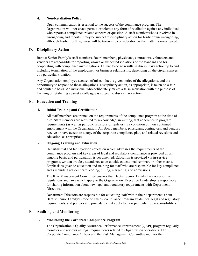#### <span id="page-10-0"></span>**4. Non-Retaliation Policy**

Open communication is essential to the success of the compliance program. The Organization will not enact, permit, or tolerate any form of retaliation against any individual who reports a compliance-related concern or question. A staff member who is involved in wrongdoing and reports it may be subject to disciplinary action for his/her own wrongdoing, although his/her forthrightness will be taken into consideration as the matter is investigated.

#### <span id="page-10-1"></span>**D. Disciplinary Action**

Baptist Senior Family's staff members, Board members, physicians, contractors, volunteers and vendors are responsible for reporting known or suspected violations of the standard and for cooperating with compliance investigations. Failure to do so results in disciplinary action up to and including termination of the employment or business relationship, depending on the circumstances of a particular violation.

Any Organization employee accused of misconduct is given notice of the allegations, and the opportunity to respond to those allegations. Disciplinary action, as appropriate, is taken on a fair and equitable basis. An individual who deliberately makes a false accusation with the purpose of harming or retaliating against a colleague is subject to disciplinary action.

#### <span id="page-10-3"></span><span id="page-10-2"></span>**E. Education and Training**

#### **1. Initial Training and Certification**

All staff members are trained on the requirements of the compliance program at the time of hire. Staff members are required to acknowledge, in writing, that adherence to program requirements (as well as periodic revisions or updates) is a condition of their continued employment with the Organization. All Board members, physicians, contractors, and vendors receive or have access to a copy of the corporate compliance plan, and related revisions and education, as appropriate.

#### <span id="page-10-4"></span>**2. Ongoing Training and Education**

Departmental and facility-wide education which addresses the requirements of the compliance program and key areas of legal and regulatory compliance is provided on an ongoing basis, and participation is documented. Education is provided via in-service programs, written articles, attendance at an outside educational seminar, or other means. Emphasis is given to education and training for staff who are responsible for key compliance areas including resident care, coding, billing, marketing, and admissions.

The Risk Management Committee ensures that Baptist Senior Family has copies of the regulations and laws which apply to the Organization. Executive Leadership is responsible for sharing information about new legal and regulatory requirements with Department Directors.

Department Directors are responsible for educating staff within their departments about Baptist Senior Family's Code of Ethics, compliance program guidelines, legal and regulatory requirements, and policies and procedures that apply to their particular job responsibilities.

#### <span id="page-10-6"></span><span id="page-10-5"></span>**F. Auditing and Monitoring**

#### **1. Monitoring the Corporate Compliance Program**

The Organization's Quality Assurance Performance Improvement (QAPI) program regularly monitors and reviews all legal requirements related to Organization operations. The Corporate Compliance Officer and the Risk Management Committee monitor the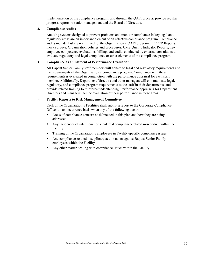implementation of the compliance program, and through the QAPI process, provide regular progress reports to senior management and the Board of Directors.

#### <span id="page-11-0"></span>**2. Compliance Audits**

Auditing systems designed to prevent problems and monitor compliance in key legal and regulatory areas are an important element of an effective compliance program. Compliance audits include, but are not limited to, the Organization's QAPI program, PEPPER Reports, mock surveys, Organization policies and procedures, CMS Quality Indicator Reports, new employee competency evaluations, billing, and audits conducted by external consultants to evaluate regulatory and legal compliance or other elements of the compliance program.

#### <span id="page-11-1"></span>**3. Compliance as an Element of Performance Evaluation**

All Baptist Senior Family staff members will adhere to legal and regulatory requirements and the requirements of the Organization's compliance program. Compliance with these requirements is evaluated in conjunction with the performance appraisal for each staff member. Additionally, Department Directors and other managers will communicate legal, regulatory, and compliance program requirements to the staff in their departments, and provide related training to reinforce understanding. Performance appraisals for Department Directors and managers include evaluation of their performance in these areas.

#### **4. Facility Reports to Risk Management Committee**

Each of the Organization's Facilities shall submit a report to the Corporate Compliance Officer on an occurrence basis when any of the following occur:

- Areas of compliance concern as delineated in this plan and how they are being addressed.
- Any incidences of intentional or accidental compliance-related misconduct within the Facility.
- Training of the Organization's employees in Facility-specific compliance issues.
- Any compliance-related disciplinary action taken against Baptist Senior Family employees within the Facility.
- Any other matter dealing with compliance issues within the Facility.